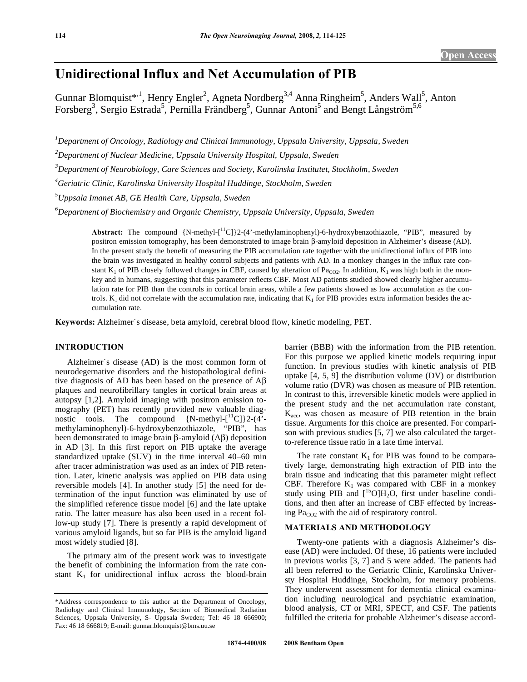# **Unidirectional Influx and Net Accumulation of PIB**

Gunnar Blomquist\*<sup>,1</sup>, Henry Engler<sup>2</sup>, Agneta Nordberg<sup>3,4</sup> Anna Ringheim<sup>5</sup>, Anders Wall<sup>5</sup>, Anton Forsberg<sup>3</sup>, Sergio Estrada<sup>5</sup>, Pernilla Frändberg<sup>5</sup>, Gunnar Antoni<sup>5</sup> and Bengt Långström<sup>5,6</sup>

*1 Department of Oncology, Radiology and Clinical Immunology, Uppsala University, Uppsala, Sweden* 

*2 Department of Nuclear Medicine, Uppsala University Hospital, Uppsala, Sweden* 

*3 Department of Neurobiology, Care Sciences and Society, Karolinska Institutet, Stockholm, Sweden* 

*4 Geriatric Clinic, Karolinska University Hospital Huddinge, Stockholm, Sweden* 

*5 Uppsala Imanet AB, GE Health Care, Uppsala, Sweden* 

*6 Department of Biochemistry and Organic Chemistry, Uppsala University, Uppsala, Sweden* 

**Abstract:** The compound  ${N-methyl-1<sup>11</sup>C}$  (4'-methylaminophenyl)-6-hydroxybenzothiazole, "PIB", measured by positron emission tomography, has been demonstrated to image brain  $\beta$ -amyloid deposition in Alzheimer's disease (AD). In the present study the benefit of measuring the PIB accumulation rate together with the unidirectional influx of PIB into the brain was investigated in healthy control subjects and patients with AD. In a monkey changes in the influx rate constant  $K_1$  of PIB closely followed changes in CBF, caused by alteration of Pa<sub>CO2</sub>. In addition,  $K_1$  was high both in the monkey and in humans, suggesting that this parameter reflects CBF. Most AD patients studied showed clearly higher accumulation rate for PIB than the controls in cortical brain areas, while a few patients showed as low accumulation as the controls.  $K_1$  did not correlate with the accumulation rate, indicating that  $K_1$  for PIB provides extra information besides the accumulation rate.

**Keywords:** Alzheimer´s disease, beta amyloid, cerebral blood flow, kinetic modeling, PET.

# **INTRODUCTION**

 Alzheimer´s disease (AD) is the most common form of neurodegernative disorders and the histopathological definitive diagnosis of AD has been based on the presence of  $\overrightarrow{AB}$ plaques and neurofibrillary tangles in cortical brain areas at autopsy [1,2]. Amyloid imaging with positron emission tomography (PET) has recently provided new valuable diagnostic tools. The compound  ${N-$ methyl- $[$ <sup>11</sup>C] $]$ 2- $(4)$ <sup>2</sup>methylaminophenyl)-6-hydroxybenzothiazole, "PIB", has been demonstrated to image brain  $\beta$ -amyloid (A $\beta$ ) deposition in AD [3]. In this first report on PIB uptake the average standardized uptake (SUV) in the time interval 40–60 min after tracer administration was used as an index of PIB retention. Later, kinetic analysis was applied on PIB data using reversible models [4]. In another study [5] the need for determination of the input function was eliminated by use of the simplified reference tissue model [6] and the late uptake ratio. The latter measure has also been used in a recent follow-up study [7]. There is presently a rapid development of various amyloid ligands, but so far PIB is the amyloid ligand most widely studied [8].

 The primary aim of the present work was to investigate the benefit of combining the information from the rate constant  $K_1$  for unidirectional influx across the blood-brain

barrier (BBB) with the information from the PIB retention. For this purpose we applied kinetic models requiring input function. In previous studies with kinetic analysis of PIB uptake [4, 5, 9] the distribution volume (DV) or distribution volume ratio (DVR) was chosen as measure of PIB retention. In contrast to this, irreversible kinetic models were applied in the present study and the net accumulation rate constant,  $K_{\text{acc}}$ , was chosen as measure of PIB retention in the brain tissue. Arguments for this choice are presented. For comparison with previous studies [5, 7] we also calculated the targetto-reference tissue ratio in a late time interval.

The rate constant  $K_1$  for PIB was found to be comparatively large, demonstrating high extraction of PIB into the brain tissue and indicating that this parameter might reflect CBF. Therefore  $K_1$  was compared with CBF in a monkey study using PIB and  $[$ <sup>15</sup>O]H<sub>2</sub>O, first under baseline conditions, and then after an increase of CBF effected by increasing  $Pa_{CO2}$  with the aid of respiratory control.

# **MATERIALS AND METHODOLOGY**

 Twenty-one patients with a diagnosis Alzheimer's disease (AD) were included. Of these, 16 patients were included in previous works [3, 7] and 5 were added. The patients had all been referred to the Geriatric Clinic, Karolinska Universty Hospital Huddinge, Stockholm, for memory problems. They underwent assessment for dementia clinical examination including neurological and psychiatric examination, blood analysis, CT or MRI, SPECT, and CSF. The patients fulfilled the criteria for probable Alzheimer's disease accord-

<sup>\*</sup>Address correspondence to this author at the Department of Oncology, Radiology and Clinical Immunology, Section of Biomedical Radiation Sciences, Uppsala University, S- Uppsala Sweden; Tel: 46 18 666900; Fax: 46 18 666819; E-mail: gunnar.blomquist@bms.uu.se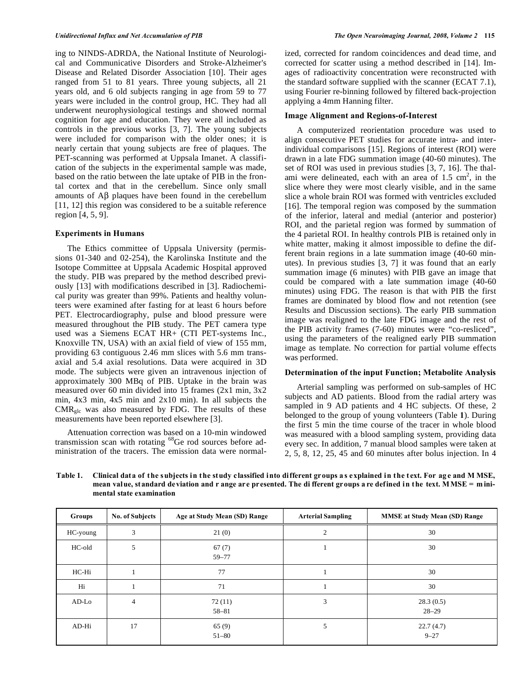ing to NINDS-ADRDA, the National Institute of Neurological and Communicative Disorders and Stroke-Alzheimer's Disease and Related Disorder Association [10]. Their ages ranged from 51 to 81 years. Three young subjects, all 21 years old, and 6 old subjects ranging in age from 59 to 77 years were included in the control group, HC. They had all underwent neurophysiological testings and showed normal cognition for age and education. They were all included as controls in the previous works [3, 7]. The young subjects were included for comparison with the older ones; it is nearly certain that young subjects are free of plaques. The PET-scanning was performed at Uppsala Imanet. A classification of the subjects in the experimental sample was made, based on the ratio between the late uptake of PIB in the frontal cortex and that in the cerebellum. Since only small amounts of  $\overrightarrow{AB}$  plaques have been found in the cerebellum [11, 12] this region was considered to be a suitable reference region [4, 5, 9].

# **Experiments in Humans**

 The Ethics committee of Uppsala University (permissions 01-340 and 02-254), the Karolinska Institute and the Isotope Committee at Uppsala Academic Hospital approved the study. PIB was prepared by the method described previously [13] with modifications described in [3]. Radiochemical purity was greater than 99%. Patients and healthy volunteers were examined after fasting for at least 6 hours before PET. Electrocardiography, pulse and blood pressure were measured throughout the PIB study. The PET camera type used was a Siemens ECAT HR+ (CTI PET-systems Inc., Knoxville TN, USA) with an axial field of view of 155 mm, providing 63 contiguous 2.46 mm slices with 5.6 mm transaxial and 5.4 axial resolutions. Data were acquired in 3D mode. The subjects were given an intravenous injection of approximately 300 MBq of PIB. Uptake in the brain was measured over 60 min divided into 15 frames (2x1 min, 3x2 min, 4x3 min, 4x5 min and 2x10 min). In all subjects the  $CMR<sub>glc</sub>$  was also measured by FDG. The results of these measurements have been reported elsewhere [3].

 Attenuation correction was based on a 10-min windowed transmission scan with rotating <sup>68</sup>Ge rod sources before administration of the tracers. The emission data were normalized, corrected for random coincidences and dead time, and corrected for scatter using a method described in [14]. Images of radioactivity concentration were reconstructed with the standard software supplied with the scanner (ECAT 7.1), using Fourier re-binning followed by filtered back-projection applying a 4mm Hanning filter.

# **Image Alignment and Regions-of-Interest**

 A computerized reorientation procedure was used to align consecutive PET studies for accurate intra- and interindividual comparisons [15]. Regions of interest (ROI) were drawn in a late FDG summation image (40-60 minutes). The set of ROI was used in previous studies [3, 7, 16]. The thalami were delineated, each with an area of  $1.5 \text{ cm}^2$ , in the slice where they were most clearly visible, and in the same slice a whole brain ROI was formed with ventricles excluded [16]. The temporal region was composed by the summation of the inferior, lateral and medial (anterior and posterior) ROI, and the parietal region was formed by summation of the 4 parietal ROI. In healthy controls PIB is retained only in white matter, making it almost impossible to define the different brain regions in a late summation image (40-60 minutes). In previous studies [3, 7] it was found that an early summation image (6 minutes) with PIB gave an image that could be compared with a late summation image (40-60 minutes) using FDG. The reason is that with PIB the first frames are dominated by blood flow and not retention (see Results and Discussion sections). The early PIB summation image was realigned to the late FDG image and the rest of the PIB activity frames (7-60) minutes were "co-resliced", using the parameters of the realigned early PIB summation image as template. No correction for partial volume effects was performed.

#### **Determination of the input Function; Metabolite Analysis**

 Arterial sampling was performed on sub-samples of HC subjects and AD patients. Blood from the radial artery was sampled in 9 AD patients and 4 HC subjects. Of these, 2 belonged to the group of young volunteers (Table **1**). During the first 5 min the time course of the tracer in whole blood was measured with a blood sampling system, providing data every sec. In addition, 7 manual blood samples were taken at 2, 5, 8, 12, 25, 45 and 60 minutes after bolus injection. In 4

Table 1. Clinical data of the subjects in the study classified into different groups as explained in the text. For age and M MSE, **mean value, standard deviation and r ange are presented. The di fferent groups a re defined in the text. MMSE = m inimental state examination** 

| Groups   | <b>No. of Subjects</b> | Age at Study Mean (SD) Range | <b>Arterial Sampling</b> | <b>MMSE at Study Mean (SD) Range</b> |
|----------|------------------------|------------------------------|--------------------------|--------------------------------------|
| HC-young | 3                      | 21(0)                        | 2                        | 30                                   |
| HC-old   | 5                      | 67(7)<br>$59 - 77$           |                          | 30                                   |
| HC-Hi    |                        | 77                           |                          | 30                                   |
| Hi       |                        | 71                           |                          | 30                                   |
| $AD-Lo$  | $\overline{4}$         | 72(11)<br>58-81              | 3                        | 28.3(0.5)<br>$28 - 29$               |
| AD-Hi    | 17                     | 65(9)<br>$51 - 80$           | 5                        | 22.7(4.7)<br>$9 - 27$                |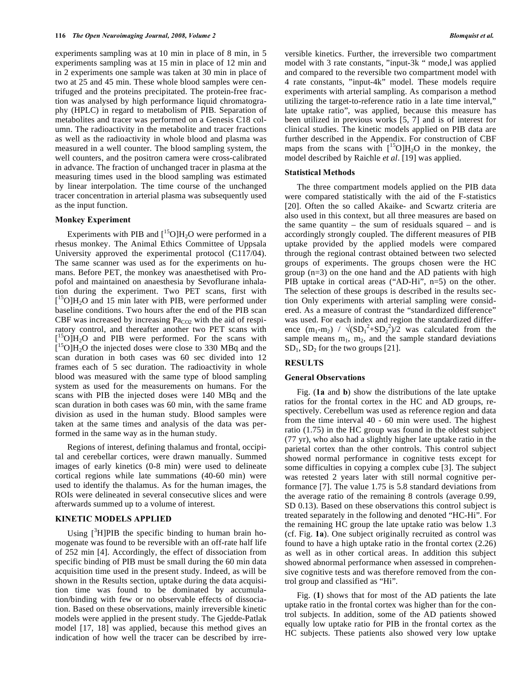experiments sampling was at 10 min in place of 8 min, in 5 experiments sampling was at 15 min in place of 12 min and in 2 experiments one sample was taken at 30 min in place of two at 25 and 45 min. These whole blood samples were centrifuged and the proteins precipitated. The protein-free fraction was analysed by high performance liquid chromatography (HPLC) in regard to metabolism of PIB. Separation of metabolites and tracer was performed on a Genesis C18 column. The radioactivity in the metabolite and tracer fractions as well as the radioactivity in whole blood and plasma was measured in a well counter. The blood sampling system, the well counters, and the positron camera were cross-calibrated in advance. The fraction of unchanged tracer in plasma at the measuring times used in the blood sampling was estimated by linear interpolation. The time course of the unchanged tracer concentration in arterial plasma was subsequently used as the input function.

#### **Monkey Experiment**

Experiments with PIB and  $\int_{0}^{15}$ O]H<sub>2</sub>O were performed in a rhesus monkey. The Animal Ethics Committee of Uppsala University approved the experimental protocol (C117/04). The same scanner was used as for the experiments on humans. Before PET, the monkey was anaesthetised with Propofol and maintained on anaesthesia by Sevoflurane inhalation during the experiment. Two PET scans, first with [<sup>15</sup>O]H<sub>2</sub>O and 15 min later with PIB, were performed under baseline conditions. Two hours after the end of the PIB scan CBF was increased by increasing  $Pa_{CO2}$  with the aid of respiratory control, and thereafter another two PET scans with  $[{}^{15}O]H_2O$  and PIB were performed. For the scans with  $15$ O]H<sub>2</sub>O the injected doses were close to 330 MBq and the scan duration in both cases was 60 sec divided into 12 frames each of 5 sec duration. The radioactivity in whole blood was measured with the same type of blood sampling system as used for the measurements on humans. For the scans with PIB the injected doses were 140 MBq and the scan duration in both cases was 60 min, with the same frame division as used in the human study. Blood samples were taken at the same times and analysis of the data was performed in the same way as in the human study.

 Regions of interest, defining thalamus and frontal, occipital and cerebellar cortices, were drawn manually. Summed images of early kinetics (0-8 min) were used to delineate cortical regions while late summations (40-60 min) were used to identify the thalamus. As for the human images, the ROIs were delineated in several consecutive slices and were afterwards summed up to a volume of interest.

# **KINETIC MODELS APPLIED**

Using  $[3H]$ PIB the specific binding to human brain homogenate was found to be reversible with an off-rate half life of 252 min [4]. Accordingly, the effect of dissociation from specific binding of PIB must be small during the 60 min data acquisition time used in the present study. Indeed, as will be shown in the Results section, uptake during the data acquisition time was found to be dominated by accumulation/binding with few or no observable effects of dissociation. Based on these observations, mainly irreversible kinetic models were applied in the present study. The Gjedde-Patlak model [17, 18] was applied, because this method gives an indication of how well the tracer can be described by irreversible kinetics. Further, the irreversible two compartment model with 3 rate constants, "input-3k " mode,l was applied and compared to the reversible two compartment model with 4 rate constants, "input-4k" model. These models require experiments with arterial sampling. As comparison a method utilizing the target-to-reference ratio in a late time interval," late uptake ratio", was applied, because this measure has been utilized in previous works [5, 7] and is of interest for clinical studies. The kinetic models applied on PIB data are further described in the Appendix. For construction of CBF maps from the scans with  $[{}^{15}O]H_2O$  in the monkey, the model described by Raichle *et al*. [19] was applied.

#### **Statistical Methods**

 The three compartment models applied on the PIB data were compared statistically with the aid of the F-statistics [20]. Often the so called Akaike- and Scwartz criteria are also used in this context, but all three measures are based on the same quantity – the sum of residuals squared – and is accordingly strongly coupled. The different measures of PIB uptake provided by the applied models were compared through the regional contrast obtained between two selected groups of experiments. The groups chosen were the HC group (n=3) on the one hand and the AD patients with high PIB uptake in cortical areas ("AD-Hi", n=5) on the other. The selection of these groups is described in the results section Only experiments with arterial sampling were considered. As a measure of contrast the "standardized difference" was used. For each index and region the standardized difference  $(m_1-m_2)$  /  $\sqrt{(SD_1^2+SD_2^2)/2}$  was calculated from the sample means  $m_1$ ,  $m_2$ , and the sample standard deviations  $SD<sub>1</sub>$ ,  $SD<sub>2</sub>$  for the two groups [21].

# **RESULTS**

# **General Observations**

 Fig. (**1a** and **b**) show the distributions of the late uptake ratios for the frontal cortex in the HC and AD groups, respectively. Cerebellum was used as reference region and data from the time interval 40 - 60 min were used. The highest ratio (1.75) in the HC group was found in the oldest subject (77 yr), who also had a slightly higher late uptake ratio in the parietal cortex than the other controls. This control subject showed normal performance in cognitive tests except for some difficulties in copying a complex cube [3]. The subject was retested 2 years later with still normal cognitive performance [7]. The value 1.75 is 5.8 standard deviations from the average ratio of the remaining 8 controls (average 0.99, SD 0.13). Based on these observations this control subject is treated separately in the following and denoted "HC-Hi". For the remaining HC group the late uptake ratio was below 1.3 (cf. Fig. **1a**). One subject originally recruited as control was found to have a high uptake ratio in the frontal cortex (2.26) as well as in other cortical areas. In addition this subject showed abnormal performance when assessed in comprehensive cognitive tests and was therefore removed from the control group and classified as "Hi".

 Fig. (**1**) shows that for most of the AD patients the late uptake ratio in the frontal cortex was higher than for the control subjects. In addition, some of the AD patients showed equally low uptake ratio for PIB in the frontal cortex as the HC subjects. These patients also showed very low uptake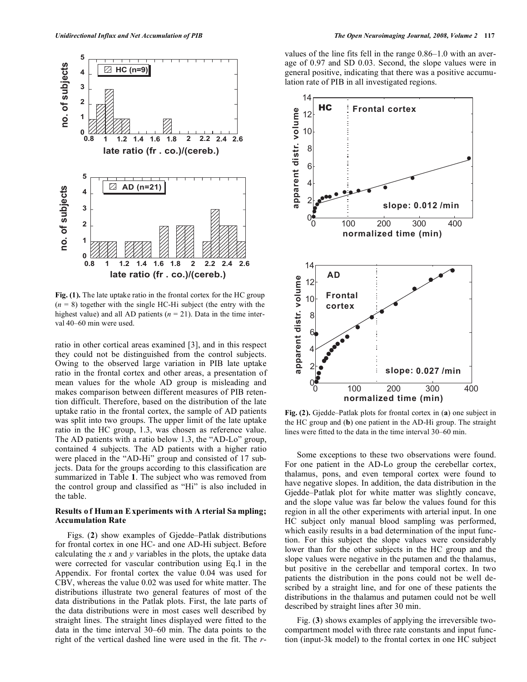

**Fig. (1).** The late uptake ratio in the frontal cortex for the HC group  $(n = 8)$  together with the single HC-Hi subject (the entry with the highest value) and all AD patients ( $n = 21$ ). Data in the time interval 40–60 min were used.

ratio in other cortical areas examined [3], and in this respect they could not be distinguished from the control subjects. Owing to the observed large variation in PIB late uptake ratio in the frontal cortex and other areas, a presentation of mean values for the whole AD group is misleading and makes comparison between different measures of PIB retention difficult. Therefore, based on the distribution of the late uptake ratio in the frontal cortex, the sample of AD patients was split into two groups. The upper limit of the late uptake ratio in the HC group, 1.3, was chosen as reference value. The AD patients with a ratio below 1.3, the "AD-Lo" group, contained 4 subjects. The AD patients with a higher ratio were placed in the "AD-Hi" group and consisted of 17 subjects. Data for the groups according to this classification are summarized in Table **1**. The subject who was removed from the control group and classified as "Hi" is also included in the table.

# **Results o f Hum an E xperiments wi th A rterial Sa mpling; Accumulation Rate**

 Figs. (**2**) show examples of Gjedde–Patlak distributions for frontal cortex in one HC- and one AD-Hi subject. Before calculating the *x* and *y* variables in the plots, the uptake data were corrected for vascular contribution using Eq.1 in the Appendix. For frontal cortex the value 0.04 was used for CBV, whereas the value 0.02 was used for white matter. The distributions illustrate two general features of most of the data distributions in the Patlak plots. First, the late parts of the data distributions were in most cases well described by straight lines. The straight lines displayed were fitted to the data in the time interval 30–60 min. The data points to the right of the vertical dashed line were used in the fit. The *r*- values of the line fits fell in the range 0.86–1.0 with an average of 0.97 and SD 0.03. Second, the slope values were in general positive, indicating that there was a positive accumulation rate of PIB in all investigated regions.



**Fig. (2).** Gjedde–Patlak plots for frontal cortex in (**a**) one subject in the HC group and (**b**) one patient in the AD-Hi group. The straight lines were fitted to the data in the time interval 30–60 min.

 Some exceptions to these two observations were found. For one patient in the AD-Lo group the cerebellar cortex, thalamus, pons, and even temporal cortex were found to have negative slopes. In addition, the data distribution in the Gjedde–Patlak plot for white matter was slightly concave, and the slope value was far below the values found for this region in all the other experiments with arterial input. In one HC subject only manual blood sampling was performed, which easily results in a bad determination of the input function. For this subject the slope values were considerably lower than for the other subjects in the HC group and the slope values were negative in the putamen and the thalamus, but positive in the cerebellar and temporal cortex. In two patients the distribution in the pons could not be well described by a straight line, and for one of these patients the distributions in the thalamus and putamen could not be well described by straight lines after 30 min.

 Fig. (**3**) shows examples of applying the irreversible twocompartment model with three rate constants and input function (input-3k model) to the frontal cortex in one HC subject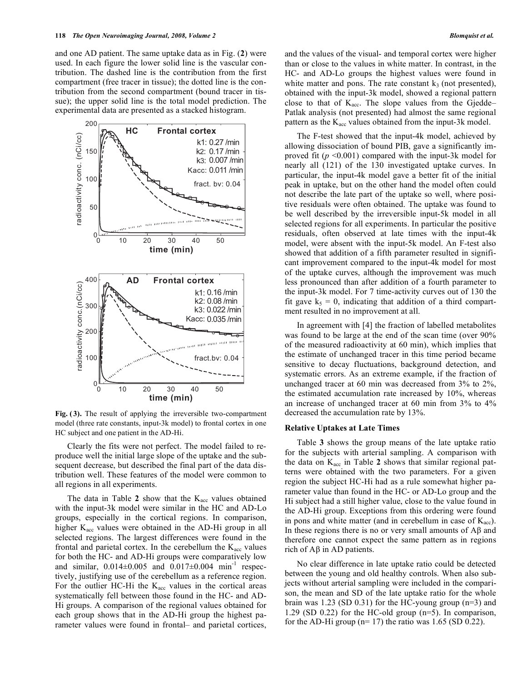and one AD patient. The same uptake data as in Fig. (**2**) were used. In each figure the lower solid line is the vascular contribution. The dashed line is the contribution from the first compartment (free tracer in tissue); the dotted line is the contribution from the second compartment (bound tracer in tissue); the upper solid line is the total model prediction. The experimental data are presented as a stacked histogram.



**Fig. ( 3).** The result of applying the irreversible two-compartment model (three rate constants, input-3k model) to frontal cortex in one HC subject and one patient in the AD-Hi.

 Clearly the fits were not perfect. The model failed to reproduce well the initial large slope of the uptake and the subsequent decrease, but described the final part of the data distribution well. These features of the model were common to all regions in all experiments.

The data in Table  $2$  show that the  $K_{\text{acc}}$  values obtained with the input-3k model were similar in the HC and AD-Lo groups, especially in the cortical regions. In comparison, higher  $K_{\text{acc}}$  values were obtained in the AD-Hi group in all selected regions. The largest differences were found in the frontal and parietal cortex. In the cerebellum the  $K_{\text{acc}}$  values for both the HC- and AD-Hi groups were comparatively low and similar,  $0.014 \pm 0.005$  and  $0.017 \pm 0.004$  min<sup>-1</sup> respectively, justifying use of the cerebellum as a reference region. For the outlier HC-Hi the  $K_{\text{acc}}$  values in the cortical areas systematically fell between those found in the HC- and AD-Hi groups. A comparison of the regional values obtained for each group shows that in the AD-Hi group the highest parameter values were found in frontal– and parietal cortices,

and the values of the visual- and temporal cortex were higher than or close to the values in white matter. In contrast, in the HC- and AD-Lo groups the highest values were found in white matter and pons. The rate constant  $k_3$  (not presented), obtained with the input-3k model, showed a regional pattern close to that of  $K_{\text{acc}}$ . The slope values from the Gjedde– Patlak analysis (not presented) had almost the same regional pattern as the  $K_{\text{acc}}$  values obtained from the input-3k model.

 The F-test showed that the input-4k model, achieved by allowing dissociation of bound PIB, gave a significantly improved fit  $(p \le 0.001)$  compared with the input-3k model for nearly all (121) of the 130 investigated uptake curves. In particular, the input-4k model gave a better fit of the initial peak in uptake, but on the other hand the model often could not describe the late part of the uptake so well, where positive residuals were often obtained. The uptake was found to be well described by the irreversible input-5k model in all selected regions for all experiments. In particular the positive residuals, often observed at late times with the input-4k model, were absent with the input-5k model. An F-test also showed that addition of a fifth parameter resulted in significant improvement compared to the input-4k model for most of the uptake curves, although the improvement was much less pronounced than after addition of a fourth parameter to the input-3k model. For 7 time-activity curves out of 130 the fit gave  $k_5 = 0$ , indicating that addition of a third compartment resulted in no improvement at all.

 In agreement with [4] the fraction of labelled metabolites was found to be large at the end of the scan time (over 90% of the measured radioactivity at 60 min), which implies that the estimate of unchanged tracer in this time period became sensitive to decay fluctuations, background detection, and systematic errors. As an extreme example, if the fraction of unchanged tracer at 60 min was decreased from 3% to 2%, the estimated accumulation rate increased by 10%, whereas an increase of unchanged tracer at 60 min from 3% to 4% decreased the accumulation rate by 13%.

#### **Relative Uptakes at Late Times**

 Table **3** shows the group means of the late uptake ratio for the subjects with arterial sampling. A comparison with the data on  $K_{\text{acc}}$  in Table 2 shows that similar regional patterns were obtained with the two parameters. For a given region the subject HC-Hi had as a rule somewhat higher parameter value than found in the HC- or AD-Lo group and the Hi subject had a still higher value, close to the value found in the AD-Hi group. Exceptions from this ordering were found in pons and white matter (and in cerebellum in case of  $K_{\text{acc}}$ ). In these regions there is no or very small amounts of  $\mathbf{A}\beta$  and therefore one cannot expect the same pattern as in regions rich of  $A\beta$  in AD patients.

 No clear difference in late uptake ratio could be detected between the young and old healthy controls. When also subjects without arterial sampling were included in the comparison, the mean and SD of the late uptake ratio for the whole brain was 1.23 (SD 0.31) for the HC-young group (n=3) and 1.29 (SD 0.22) for the HC-old group (n=5). In comparison, for the AD-Hi group ( $n= 17$ ) the ratio was 1.65 (SD 0.22).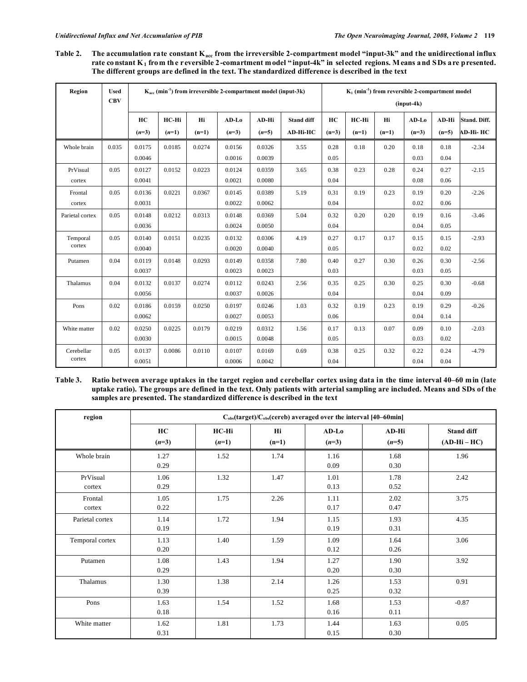Table 2. The accumulation rate constant K<sub>acc</sub> from the irreversible 2-compartment model "input-3k" and the unidirectional influx rate constant K<sub>1</sub> from the r eversible 2-comartment model "input-4k" in selected regions. Means and SDs are presented. **The different groups are defined in the text. The standardized difference is described in the text** 

| Region          | <b>Used</b><br><b>CBV</b> | $K_{\text{acc}}$ (min <sup>-1</sup> ) from irreversible 2-compartment model (input-3k) |         |         |         |         |            |         | $K_1$ (min <sup>-1</sup> ) from reversible 2-compartment model<br>$(nput-4k)$ |         |         |         |              |  |
|-----------------|---------------------------|----------------------------------------------------------------------------------------|---------|---------|---------|---------|------------|---------|-------------------------------------------------------------------------------|---------|---------|---------|--------------|--|
|                 |                           | HC                                                                                     | HC-Hi   | Hi      | $AD-Lo$ | AD-Hi   | Stand diff | HC      | HC-Hi                                                                         | Hi      | $AD-Lo$ | AD-Hi   | Stand. Diff. |  |
|                 |                           | $(n=3)$                                                                                | $(n=1)$ | $(n=1)$ | $(n=3)$ | $(n=5)$ | AD-Hi-HC   | $(n=3)$ | $(n=1)$                                                                       | $(n=1)$ | $(n=3)$ | $(n=5)$ | AD-Hi- HC    |  |
| Whole brain     | 0.035                     | 0.0175                                                                                 | 0.0185  | 0.0274  | 0.0156  | 0.0326  | 3.55       | 0.28    | 0.18                                                                          | 0.20    | 0.18    | 0.18    | $-2.34$      |  |
|                 |                           | 0.0046                                                                                 |         |         | 0.0016  | 0.0039  |            | 0.05    |                                                                               |         | 0.03    | 0.04    |              |  |
| PrVisual        | 0.05                      | 0.0127                                                                                 | 0.0152  | 0.0223  | 0.0124  | 0.0359  | 3.65       | 0.38    | 0.23                                                                          | 0.28    | 0.24    | 0.27    | $-2.15$      |  |
| cortex          |                           | 0.0041                                                                                 |         |         | 0.0021  | 0.0080  |            | 0.04    |                                                                               |         | 0.08    | 0.06    |              |  |
| Frontal         | 0.05                      | 0.0136                                                                                 | 0.0221  | 0.0367  | 0.0145  | 0.0389  | 5.19       | 0.31    | 0.19                                                                          | 0.23    | 0.19    | 0.20    | $-2.26$      |  |
| cortex          |                           | 0.0031                                                                                 |         |         | 0.0022  | 0.0062  |            | 0.04    |                                                                               |         | 0.02    | 0.06    |              |  |
| Parietal cortex | 0.05                      | 0.0148                                                                                 | 0.0212  | 0.0313  | 0.0148  | 0.0369  | 5.04       | 0.32    | 0.20                                                                          | 0.20    | 0.19    | 0.16    | $-3.46$      |  |
|                 |                           | 0.0036                                                                                 |         |         | 0.0024  | 0.0050  |            | 0.04    |                                                                               |         | 0.04    | 0.05    |              |  |
| Temporal        | 0.05                      | 0.0140                                                                                 | 0.0151  | 0.0235  | 0.0132  | 0.0306  | 4.19       | 0.27    | 0.17                                                                          | 0.17    | 0.15    | 0.15    | $-2.93$      |  |
| cortex          |                           | 0.0040                                                                                 |         |         | 0.0020  | 0.0040  |            | 0.05    |                                                                               |         | 0.02    | 0.02    |              |  |
| Putamen         | 0.04                      | 0.0119                                                                                 | 0.0148  | 0.0293  | 0.0149  | 0.0358  | 7.80       | 0.40    | 0.27                                                                          | 0.30    | 0.26    | 0.30    | $-2.56$      |  |
|                 |                           | 0.0037                                                                                 |         |         | 0.0023  | 0.0023  |            | 0.03    |                                                                               |         | 0.03    | 0.05    |              |  |
| Thalamus        | 0.04                      | 0.0132                                                                                 | 0.0137  | 0.0274  | 0.0112  | 0.0243  | 2.56       | 0.35    | 0.25                                                                          | 0.30    | 0.25    | 0.30    | $-0.68$      |  |
|                 |                           | 0.0056                                                                                 |         |         | 0.0037  | 0.0026  |            | 0.04    |                                                                               |         | 0.04    | 0.09    |              |  |
| Pons            | 0.02                      | 0.0186                                                                                 | 0.0159  | 0.0250  | 0.0197  | 0.0246  | 1.03       | 0.32    | 0.19                                                                          | 0.23    | 0.19    | 0.29    | $-0.26$      |  |
|                 |                           | 0.0062                                                                                 |         |         | 0.0027  | 0.0053  |            | 0.06    |                                                                               |         | 0.04    | 0.14    |              |  |
| White matter    | 0.02                      | 0.0250                                                                                 | 0.0225  | 0.0179  | 0.0219  | 0.0312  | 1.56       | 0.17    | 0.13                                                                          | 0.07    | 0.09    | 0.10    | $-2.03$      |  |
|                 |                           | 0.0030                                                                                 |         |         | 0.0015  | 0.0048  |            | 0.05    |                                                                               |         | 0.03    | 0.02    |              |  |
| Cerebellar      | 0.05                      | 0.0137                                                                                 | 0.0086  | 0.0110  | 0.0107  | 0.0169  | 0.69       | 0.38    | 0.25                                                                          | 0.32    | 0.22    | 0.24    | $-4.79$      |  |
| cortex          |                           | 0.0051                                                                                 |         |         | 0.0006  | 0.0042  |            | 0.04    |                                                                               |         | 0.04    | 0.04    |              |  |

Table 3. Ratio between average uptakes in the target region and cerebellar cortex using data in the time interval 40–60 min (late **uptake ratio). The groups are defined in the text. Only patients with arterial sampling are included. Means and SDs of the samples are presented. The standardized difference is described in the text** 

| region             | $C_{obs}$ (target)/ $C_{obs}$ (cereb) averaged over the interval [40–60min] |                  |               |                    |                  |                                   |  |  |  |
|--------------------|-----------------------------------------------------------------------------|------------------|---------------|--------------------|------------------|-----------------------------------|--|--|--|
|                    | HC<br>$(n=3)$                                                               | HC-Hi<br>$(n=1)$ | Hi<br>$(n=1)$ | $AD-Lo$<br>$(n=3)$ | AD-Hi<br>$(n=5)$ | <b>Stand diff</b><br>$(AD-Hi-HC)$ |  |  |  |
| Whole brain        | 1.27<br>0.29                                                                | 1.52             | 1.74          | 1.16<br>0.09       | 1.68<br>0.30     | 1.96                              |  |  |  |
| PrVisual<br>cortex | 1.06<br>0.29                                                                | 1.32             | 1.47          | 1.01<br>0.13       | 1.78<br>0.52     | 2.42                              |  |  |  |
| Frontal<br>cortex  | 1.05<br>0.22                                                                | 1.75             | 2.26          | 1.11<br>0.17       | 2.02<br>0.47     | 3.75                              |  |  |  |
| Parietal cortex    | 1.14<br>0.19                                                                | 1.72             | 1.94          | 1.15<br>0.19       | 1.93<br>0.31     | 4.35                              |  |  |  |
| Temporal cortex    | 1.13<br>0.20                                                                | 1.40             | 1.59          | 1.09<br>0.12       | 1.64<br>0.26     | 3.06                              |  |  |  |
| Putamen            | 1.08<br>0.29                                                                | 1.43             | 1.94          | 1.27<br>0.20       | 1.90<br>0.30     | 3.92                              |  |  |  |
| Thalamus           | 1.30<br>0.39                                                                | 1.38             | 2.14          | 1.26<br>0.25       | 1.53<br>0.32     | 0.91                              |  |  |  |
| Pons               | 1.63<br>0.18                                                                | 1.54             | 1.52          | 1.68<br>0.16       | 1.53<br>0.11     | $-0.87$                           |  |  |  |
| White matter       | 1.62<br>0.31                                                                | 1.81             | 1.73          | 1.44<br>0.15       | 1.63<br>0.30     | 0.05                              |  |  |  |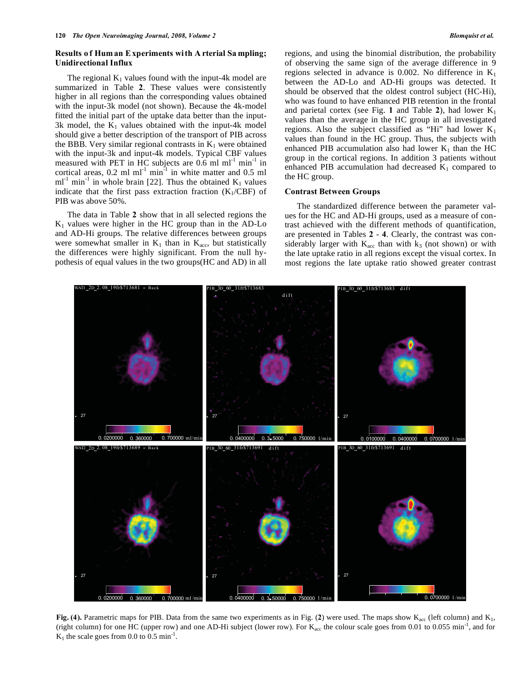# **Results o f Hum an E xperiments wi th A rterial Sa mpling; Unidirectional Influx**

The regional  $K_1$  values found with the input-4k model are summarized in Table **2**. These values were consistently higher in all regions than the corresponding values obtained with the input-3k model (not shown). Because the 4k-model fitted the initial part of the uptake data better than the input-3k model, the  $K_1$  values obtained with the input-4k model should give a better description of the transport of PIB across the BBB. Very similar regional contrasts in  $K_1$  were obtained with the input-3k and input-4k models. Typical CBF values measured with PET in HC subjects are  $0.6$  ml ml<sup>-1</sup> min<sup>-1</sup> in cortical areas,  $0.2$  ml ml<sup>-1</sup> min<sup>-1</sup> in white matter and  $0.5$  ml  $ml^{-1}$  min<sup>-1</sup> in whole brain [22]. Thus the obtained  $K_1$  values indicate that the first pass extraction fraction  $(K_1/CBF)$  of PIB was above 50%.

 The data in Table **2** show that in all selected regions the  $K_1$  values were higher in the HC group than in the AD-Lo and AD-Hi groups. The relative differences between groups were somewhat smaller in  $K_1$  than in  $K_{\text{acc}}$ , but statistically the differences were highly significant. From the null hypothesis of equal values in the two groups(HC and AD) in all regions, and using the binomial distribution, the probability of observing the same sign of the average difference in 9 regions selected in advance is 0.002. No difference in  $K_1$ between the AD-Lo and AD-Hi groups was detected. It should be observed that the oldest control subject (HC-Hi), who was found to have enhanced PIB retention in the frontal and parietal cortex (see Fig. 1 and Table 2), had lower  $K_1$ values than the average in the HC group in all investigated regions. Also the subject classified as "Hi" had lower  $K_1$ values than found in the HC group. Thus, the subjects with enhanced PIB accumulation also had lower  $K_1$  than the HC group in the cortical regions. In addition 3 patients without enhanced PIB accumulation had decreased  $K_1$  compared to the HC group.

#### **Contrast Between Groups**

 The standardized difference between the parameter values for the HC and AD-Hi groups, used as a measure of contrast achieved with the different methods of quantification, are presented in Tables **2** - **4**. Clearly, the contrast was considerably larger with  $K_{\text{acc}}$  than with  $k_3$  (not shown) or with the late uptake ratio in all regions except the visual cortex. In most regions the late uptake ratio showed greater contrast



**Fig. (4).** Parametric maps for PIB. Data from the same two experiments as in Fig. (2) were used. The maps show  $K_{acc}$  (left column) and  $K_1$ , (right column) for one HC (upper row) and one AD-Hi subject (lower row). For  $K_{\text{acc}}$  the colour scale goes from 0.01 to 0.055 min<sup>-1</sup>, and for  $K_1$  the scale goes from 0.0 to 0.5 min<sup>-1</sup>.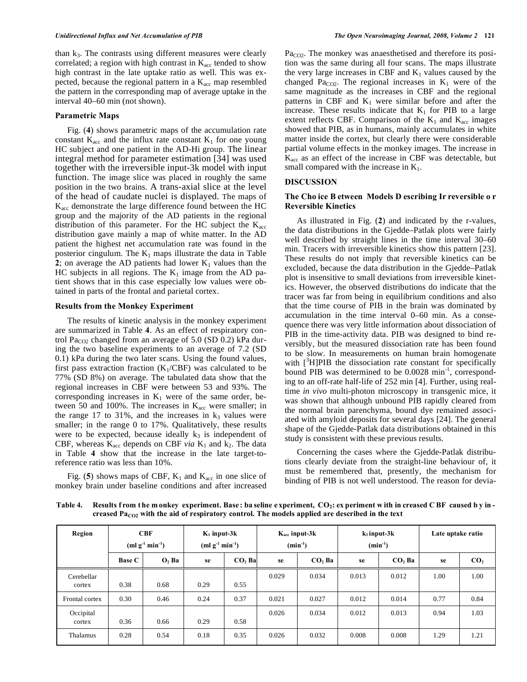than k3. The contrasts using different measures were clearly correlated; a region with high contrast in  $K_{\text{acc}}$  tended to show high contrast in the late uptake ratio as well. This was expected, because the regional pattern in a  $K_{\text{acc}}$  map resembled the pattern in the corresponding map of average uptake in the interval 40–60 min (not shown).

# **Parametric Maps**

 Fig. (**4**) shows parametric maps of the accumulation rate constant  $K_{\text{acc}}$  and the influx rate constant  $K_1$  for one young HC subject and one patient in the AD-Hi group. The linear integral method for parameter estimation [34] was used together with the irreversible input-3k model with input function. The image slice was placed in roughly the same position in the two brains. A trans-axial slice at the level of the head of caudate nuclei is displayed. The maps of  $K<sub>acc</sub>$  demonstrate the large difference found between the HC group and the majority of the AD patients in the regional distribution of this parameter. For the HC subject the  $K_{\text{acc}}$ distribution gave mainly a map of white matter. In the AD patient the highest net accumulation rate was found in the posterior cingulum. The  $K_1$  maps illustrate the data in Table 2; on average the AD patients had lower  $K_1$  values than the HC subjects in all regions. The  $K_1$  image from the AD patient shows that in this case especially low values were obtained in parts of the frontal and parietal cortex.

#### **Results from the Monkey Experiment**

 The results of kinetic analysis in the monkey experiment are summarized in Table **4**. As an effect of respiratory control Pa<sub>CO2</sub> changed from an average of 5.0 (SD 0.2) kPa during the two baseline experiments to an average of 7.2 (SD 0.1) kPa during the two later scans. Using the found values, first pass extraction fraction  $(K_1/CBF)$  was calculated to be 77% (SD 8%) on average. The tabulated data show that the regional increases in CBF were between 53 and 93%. The corresponding increases in  $K_1$  were of the same order, between 50 and 100%. The increases in  $K_{\text{acc}}$  were smaller; in the range 17 to 31%, and the increases in  $k_3$  values were smaller; in the range 0 to 17%. Qualitatively, these results were to be expected, because ideally  $k_3$  is independent of CBF, whereas  $K_{\text{acc}}$  depends on CBF *via*  $K_1$  and  $k_2$ . The data in Table **4** show that the increase in the late target-toreference ratio was less than 10%.

Fig. (5) shows maps of CBF,  $K_1$  and  $K_{\text{acc}}$  in one slice of monkey brain under baseline conditions and after increased  $Pa<sub>CO2</sub>$ . The monkey was anaesthetised and therefore its position was the same during all four scans. The maps illustrate the very large increases in CBF and  $K_1$  values caused by the changed Pa<sub>CO2</sub>. The regional increases in  $K_1$  were of the same magnitude as the increases in CBF and the regional patterns in CBF and  $K_1$  were similar before and after the increase. These results indicate that  $K_1$  for PIB to a large extent reflects CBF. Comparison of the  $K_1$  and  $K_{\text{acc}}$  images showed that PIB, as in humans, mainly accumulates in white matter inside the cortex, but clearly there were considerable partial volume effects in the monkey images. The increase in  $K<sub>acc</sub>$  as an effect of the increase in CBF was detectable, but small compared with the increase in  $K_1$ .

# **DISCUSSION**

# **The Cho ice B etween Models D escribing Ir reversible o r Reversible Kinetics**

 As illustrated in Fig. (**2**) and indicated by the r-values, the data distributions in the Gjedde–Patlak plots were fairly well described by straight lines in the time interval 30–60 min. Tracers with irreversible kinetics show this pattern [23]. These results do not imply that reversible kinetics can be excluded, because the data distribution in the Gjedde–Patlak plot is insensitive to small deviations from irreversible kinetics. However, the observed distributions do indicate that the tracer was far from being in equilibrium conditions and also that the time course of PIB in the brain was dominated by accumulation in the time interval 0–60 min. As a consequence there was very little information about dissociation of PIB in the time-activity data. PIB was designed to bind reversibly, but the measured dissociation rate has been found to be slow. In measurements on human brain homogenate with  $[^{3}H]$ PIB the dissociation rate constant for specifically bound PIB was determined to be 0.0028 min<sup>-1</sup>, corresponding to an off-rate half-life of 252 min [4]. Further, using realtime *in vivo* multi-photon microscopy in transgenic mice, it was shown that although unbound PIB rapidly cleared from the normal brain parenchyma, bound dye remained associated with amyloid deposits for several days [24]. The general shape of the Gjedde-Patlak data distributions obtained in this study is consistent with these previous results.

 Concerning the cases where the Gjedde-Patlak distributions clearly deviate from the straight-line behaviour of, it must be remembered that, presently, the mechanism for binding of PIB is not well understood. The reason for devia-

Table 4. Results from the monkey experiment. Base: ba seline experiment, CO<sub>2</sub>: experiment with in creased C BF caused by increased Pa<sub>CO2</sub> with the aid of respiratory control. The models applied are described in the text

| Region               | <b>CBF</b><br>$(ml g^{-1} min^{-1})$ |         | $K_1$ input-3 $k$<br>$(ml g-1 min-1)$ |          | $K_{\text{acc}}$ input-3 $k$<br>$(min^{-1})$ |          |       | $k_3$ input- $3k$<br>$(min^{-1})$ | Late uptake ratio |                 |
|----------------------|--------------------------------------|---------|---------------------------------------|----------|----------------------------------------------|----------|-------|-----------------------------------|-------------------|-----------------|
|                      | <b>Base C</b>                        | $O2$ Ba | se                                    | $CO2$ Ba | se                                           | $CO2$ Ba | se    | CO <sub>2</sub> Ba                | se                | CO <sub>2</sub> |
| Cerebellar<br>cortex | 0.38                                 | 0.68    | 0.29                                  | 0.55     | 0.029                                        | 0.034    | 0.013 | 0.012                             | 1.00              | 1.00            |
| Frontal cortex       | 0.30                                 | 0.46    | 0.24                                  | 0.37     | 0.021                                        | 0.027    | 0.012 | 0.014                             | 0.77              | 0.84            |
| Occipital<br>cortex  | 0.36                                 | 0.66    | 0.29                                  | 0.58     | 0.026                                        | 0.034    | 0.012 | 0.013                             | 0.94              | 1.03            |
| Thalamus             | 0.28                                 | 0.54    | 0.18                                  | 0.35     | 0.026                                        | 0.032    | 0.008 | 0.008                             | 1.29              | 1.21            |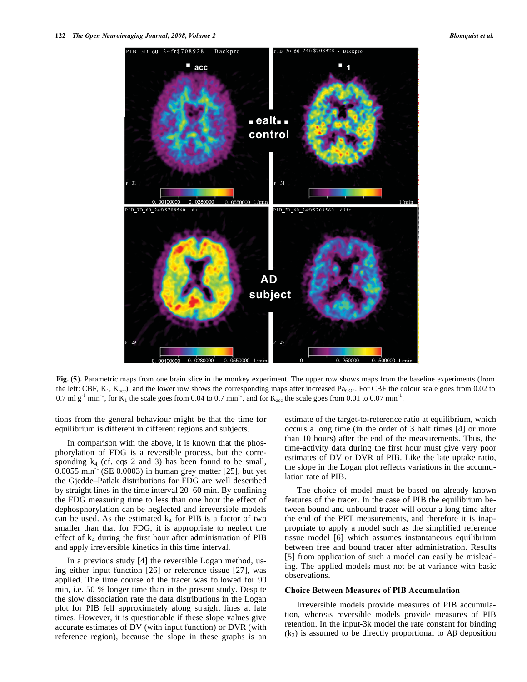

**Fig. (5).** Parametric maps from one brain slice in the monkey experiment. The upper row shows maps from the baseline experiments (from the left: CBF,  $K_1$ ,  $K_{\text{acc}}$ ), and the lower row shows the corresponding maps after increased Pa<sub>CO2</sub>. For CBF the colour scale goes from 0.02 to 0.7 ml g<sup>-1</sup> min<sup>-1</sup>, for  $K_1$  the scale goes from 0.04 to 0.7 min<sup>-1</sup>, and for  $K_{\text{acc}}$  the scale goes from 0.01 to 0.07 min<sup>-1</sup>.

tions from the general behaviour might be that the time for equilibrium is different in different regions and subjects.

 In comparison with the above, it is known that the phosphorylation of FDG is a reversible process, but the corresponding  $k_4$  (cf. eqs 2 and 3) has been found to be small,  $0.0055$  min<sup>-1</sup> (SE 0.0003) in human grey matter [25], but yet the Gjedde–Patlak distributions for FDG are well described by straight lines in the time interval 20–60 min. By confining the FDG measuring time to less than one hour the effect of dephosphorylation can be neglected and irreversible models can be used. As the estimated  $k_4$  for PIB is a factor of two smaller than that for FDG, it is appropriate to neglect the effect of  $k_4$  during the first hour after administration of PIB and apply irreversible kinetics in this time interval.

 In a previous study [4] the reversible Logan method, using either input function [26] or reference tissue [27], was applied. The time course of the tracer was followed for 90 min, i.e. 50 % longer time than in the present study. Despite the slow dissociation rate the data distributions in the Logan plot for PIB fell approximately along straight lines at late times. However, it is questionable if these slope values give accurate estimates of DV (with input function) or DVR (with reference region), because the slope in these graphs is an estimate of the target-to-reference ratio at equilibrium, which occurs a long time (in the order of 3 half times [4] or more than 10 hours) after the end of the measurements. Thus, the time-activity data during the first hour must give very poor estimates of DV or DVR of PIB. Like the late uptake ratio, the slope in the Logan plot reflects variations in the accumulation rate of PIB.

 The choice of model must be based on already known features of the tracer. In the case of PIB the equilibrium between bound and unbound tracer will occur a long time after the end of the PET measurements, and therefore it is inappropriate to apply a model such as the simplified reference tissue model [6] which assumes instantaneous equilibrium between free and bound tracer after administration. Results [5] from application of such a model can easily be misleading. The applied models must not be at variance with basic observations.

#### **Choice Between Measures of PIB Accumulation**

 Irreversible models provide measures of PIB accumulation, whereas reversible models provide measures of PIB retention. In the input-3k model the rate constant for binding  $(k_3)$  is assumed to be directly proportional to A $\beta$  deposition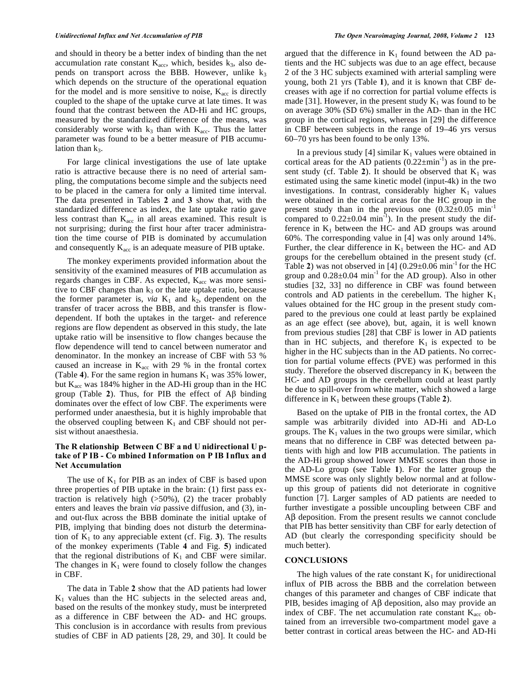and should in theory be a better index of binding than the net accumulation rate constant  $K_{\text{acc}}$ , which, besides  $k_3$ , also depends on transport across the BBB. However, unlike  $k_3$ which depends on the structure of the operational equation for the model and is more sensitive to noise,  $K_{\text{acc}}$  is directly coupled to the shape of the uptake curve at late times. It was found that the contrast between the AD-Hi and HC groups, measured by the standardized difference of the means, was considerably worse with  $k_3$  than with  $K_{\text{acc}}$ . Thus the latter parameter was found to be a better measure of PIB accumulation than  $k_3$ .

 For large clinical investigations the use of late uptake ratio is attractive because there is no need of arterial sampling, the computations become simple and the subjects need to be placed in the camera for only a limited time interval. The data presented in Tables **2** and **3** show that, with the standardized difference as index, the late uptake ratio gave less contrast than  $K_{\text{acc}}$  in all areas examined. This result is not surprising; during the first hour after tracer administration the time course of PIB is dominated by accumulation and consequently  $K_{\text{acc}}$  is an adequate measure of PIB uptake.

 The monkey experiments provided information about the sensitivity of the examined measures of PIB accumulation as regards changes in CBF. As expected,  $K_{\text{acc}}$  was more sensitive to CBF changes than  $k_3$  or the late uptake ratio, because the former parameter is, *via*  $K_1$  and  $k_2$ , dependent on the transfer of tracer across the BBB, and this transfer is flowdependent. If both the uptakes in the target- and reference regions are flow dependent as observed in this study, the late uptake ratio will be insensitive to flow changes because the flow dependence will tend to cancel between numerator and denominator. In the monkey an increase of CBF with 53 % caused an increase in  $K_{\text{acc}}$  with 29 % in the frontal cortex (Table 4). For the same region in humans  $K_1$  was 35% lower, but  $K_{\text{acc}}$  was 184% higher in the AD-Hi group than in the HC group (Table  $2$ ). Thus, for PIB the effect of  $\mathbf{A}\beta$  binding dominates over the effect of low CBF. The experiments were performed under anaesthesia, but it is highly improbable that the observed coupling between  $K_1$  and CBF should not persist without anaesthesia.

# **The R elationship Between C BF a nd U nidirectional U ptake of P IB - Co mbined Information on P IB Influx an d Net Accumulation**

The use of  $K_1$  for PIB as an index of CBF is based upon three properties of PIB uptake in the brain: (1) first pass extraction is relatively high  $(50\%)$ , (2) the tracer probably enters and leaves the brain *via* passive diffusion, and (3), inand out-flux across the BBB dominate the initial uptake of PIB, implying that binding does not disturb the determination of  $K_1$  to any appreciable extent (cf. Fig. 3). The results of the monkey experiments (Table **4** and Fig. **5**) indicated that the regional distributions of  $K_1$  and CBF were similar. The changes in  $K_1$  were found to closely follow the changes in CBF.

 The data in Table **2** show that the AD patients had lower  $K_1$  values than the HC subjects in the selected areas and, based on the results of the monkey study, must be interpreted as a difference in CBF between the AD- and HC groups. This conclusion is in accordance with results from previous studies of CBF in AD patients [28, 29, and 30]. It could be argued that the difference in  $K_1$  found between the AD patients and the HC subjects was due to an age effect, because 2 of the 3 HC subjects examined with arterial sampling were young, both 21 yrs (Table **1**), and it is known that CBF decreases with age if no correction for partial volume effects is made [31]. However, in the present study  $K_1$  was found to be on average 30% (SD 6%) smaller in the AD- than in the HC group in the cortical regions, whereas in [29] the difference in CBF between subjects in the range of 19–46 yrs versus 60–70 yrs has been found to be only 13%.

In a previous study [4] similar  $K_1$  values were obtained in cortical areas for the AD patients  $(0.22 \pm \text{min}^{-1})$  as in the present study (cf. Table 2). It should be observed that  $K_1$  was estimated using the same kinetic model (input-4k) in the two investigations. In contrast, considerably higher  $K_1$  values were obtained in the cortical areas for the HC group in the present study than in the previous one  $(0.32\pm0.05 \text{ min}^{-1}$ compared to  $0.22 \pm 0.04$  min<sup>-1</sup>). In the present study the difference in  $K_1$  between the HC- and AD groups was around 60%. The corresponding value in [4] was only around 14%. Further, the clear difference in  $K_1$  between the HC- and AD groups for the cerebellum obtained in the present study (cf. Table 2) was not observed in [4]  $(0.29 \pm 0.06 \text{ min}^{-1}$  for the HC group and  $0.28 \pm 0.04$  min<sup>-1</sup> for the AD group). Also in other studies [32, 33] no difference in CBF was found between controls and AD patients in the cerebellum. The higher  $K_1$ values obtained for the HC group in the present study compared to the previous one could at least partly be explained as an age effect (see above), but, again, it is well known from previous studies [28] that CBF is lower in AD patients than in HC subjects, and therefore  $K_1$  is expected to be higher in the HC subjects than in the AD patients. No correction for partial volume effects (PVE) was performed in this study. Therefore the observed discrepancy in  $K_1$  between the HC- and AD groups in the cerebellum could at least partly be due to spill-over from white matter, which showed a large difference in  $K_1$  between these groups (Table 2).

 Based on the uptake of PIB in the frontal cortex, the AD sample was arbitrarily divided into AD-Hi and AD-Lo groups. The  $K_1$  values in the two groups were similar, which means that no difference in CBF was detected between patients with high and low PIB accumulation. The patients in the AD-Hi group showed lower MMSE scores than those in the AD-Lo group (see Table **1**). For the latter group the MMSE score was only slightly below normal and at followup this group of patients did not deteriorate in cognitive function [7]. Larger samples of AD patients are needed to further investigate a possible uncoupling between CBF and  $\Delta \beta$  deposition. From the present results we cannot conclude that PIB has better sensitivity than CBF for early detection of AD (but clearly the corresponding specificity should be much better).

# **CONCLUSIONS**

The high values of the rate constant  $K_1$  for unidirectional influx of PIB across the BBB and the correlation between changes of this parameter and changes of CBF indicate that PIB, besides imaging of  $\text{A}\beta$  deposition, also may provide an index of CBF. The net accumulation rate constant  $K_{\text{acc}}$  obtained from an irreversible two-compartment model gave a better contrast in cortical areas between the HC- and AD-Hi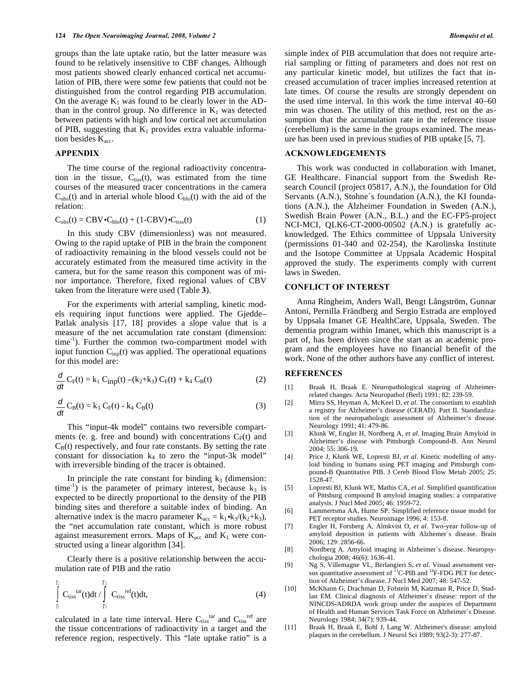groups than the late uptake ratio, but the latter measure was found to be relatively insensitive to CBF changes. Although most patients showed clearly enhanced cortical net accumulation of PIB, there were some few patients that could not be distinguished from the control regarding PIB accumulation. On the average  $K_1$  was found to be clearly lower in the ADthan in the control group. No difference in  $K_1$  was detected between patients with high and low cortical net accumulation of PIB, suggesting that  $K_1$  provides extra valuable information besides  $K_{\text{acc}}$ .

# **APPENDIX**

 The time course of the regional radioactivity concentration in the tissue,  $C_{tiss}(t)$ , was estimated from the time courses of the measured tracer concentrations in the camera  $C_{obs}(t)$  and in arterial whole blood  $C_{bio}(t)$  with the aid of the relation:

$$
C_{obs}(t) = CBV \cdot C_{blo}(t) + (1 - CBV) \cdot C_{tiss}(t)
$$
 (1)

 In this study CBV (dimensionless) was not measured. Owing to the rapid uptake of PIB in the brain the component of radioactivity remaining in the blood vessels could not be accurately estimated from the measured time activity in the camera, but for the same reason this component was of minor importance. Therefore, fixed regional values of CBV taken from the literature were used (Table **3**).

 For the experiments with arterial sampling, kinetic models requiring input functions were applied. The Gjedde– Patlak analysis [17, 18] provides a slope value that is a measure of the net accumulation rate constant (dimension:  $time^{-1}$ ). Further the common two-compartment model with input function Cinp(t) was applied. The operational equations for this model are:

$$
\frac{d}{dt} C_F(t) = k_1 C_{inp}(t) - (k_2 + k_3) C_F(t) + k_4 C_B(t)
$$
\n(2)

$$
\frac{d}{dt}C_{B}(t) = k_3 C_{F}(t) - k_4 C_{B}(t)
$$
\n(3)

 This "input-4k model" contains two reversible compartments (e. g. free and bound) with concentrations  $C_F(t)$  and  $C_B(t)$  respectively, and four rate constants. By setting the rate constant for dissociation  $k_4$  to zero the "input-3k model" with irreversible binding of the tracer is obtained.

In principle the rate constant for binding  $k_3$  (dimension: time<sup>-1</sup>) is the parameter of primary interest, because  $k_3$  is expected to be directly proportional to the density of the PIB binding sites and therefore a suitable index of binding. An alternative index is the macro parameter  $K_{\text{acc}} = k_1 \cdot k_3/(k_2 + k_3)$ , the "net accumulation rate constant, which is more robust against measurement errors. Maps of  $K_{\text{acc}}$  and  $K_1$  were constructed using a linear algorithm [34].

 Clearly there is a positive relationship between the accumulation rate of PIB and the ratio

$$
\int_{T_1}^{T_2} C_{\text{tiss}}^{\text{tar}}(t) dt / \int_{T_1}^{T_2} C_{\text{tiss}}^{\text{ref}}(t) dt,
$$
 (4)

calculated in a late time interval. Here  $C_{tiss}^{tar}$  and  $C_{tiss}^{ref}$  are the tissue concentrations of radioactivity in a target and the reference region, respectively. This "late uptake ratio" is a

simple index of PIB accumulation that does not require arterial sampling or fitting of parameters and does not rest on any particular kinetic model, but utilizes the fact that increased accumulation of tracer implies increased retention at late times. Of course the results are strongly dependent on the used time interval. In this work the time interval 40–60 min was chosen. The utility of this method, rest on the assumption that the accumulation rate in the reference tissue (cerebellum) is the same in the groups examined. The measure has been used in previous studies of PIB uptake [5, 7].

# **ACKNOWLEDGEMENTS**

 This work was conducted in collaboration with Imanet, GE Healthcare. Financial support from the Swedish Research Council (project 05817, A.N.), the foundation for Old Servants (A.N.), Stohne´s foundation (A.N.), the KI foundations (A.N.), the Alzheimer Foundation in Sweden (A.N.), Swedish Brain Power (A.N., B.L.) and the EC-FP5-project NCI-MCI, QLK6-CT-2000-00502 (A.N.) is gratefully acknowledged. The Ethics committee of Uppsala University (permissions 01-340 and 02-254), the Karolinska Institute and the Isotope Committee at Uppsala Academic Hospital approved the study. The experiments comply with current laws in Sweden.

# **CONFLICT OF INTEREST**

 Anna Ringheim, Anders Wall, Bengt Långström, Gunnar Antoni, Pernilla Frändberg and Sergio Estrada are employed by Uppsala Imanet GE HealthCare, Uppsala, Sweden. The dementia program within Imanet, which this manuscript is a part of, has been driven since the start as an academic program and the employees have no financial benefit of the work. None of the other authors have any conflict of interest.

# **REFERENCES**

- [1] Braak H, Braak E. Neuropathological stageing of Alzheimerrelated changes. Acta Neuropathol (Berl) 1991; 82: 239-59.
- [2] Mirra SS, Heyman A, McKeel D, *et al*. The consortium to establish a registry for Alzheimer's disease (CERAD). Part II. Standardization of the neuropathologic assessment of Alzheimer's disease. Neurology 1991; 41: 479-86.
- [3] Klunk W, Engler H, Nordberg A, *et al*. Imaging Brain Amyloid in Alzheimer's disease with Pittsburgh Compound-B. Ann Neurol 2004; 55: 306-19.
- [4] Price J, Klunk WE, Lopresti BJ, *et al*. Kinetic modelling of amyloid binding in humans using PET imaging and Pittsburgh compound-B Quantitative PIB. J Cereb Blood Flow Metab 2005; 25: 1528-47.
- [5] Lopresti BJ, Klunk WE, Mathis CA, *et al*. Simplified quantification of Pittsburg compound B amyloid imaging studies: a comparative analysis. J Nucl Med 2005; 46: 1959-72.
- [6] Lammertsma AA, Hume SP. Simplified reference tissue model for PET receptor studies. Neuroimage 1996; 4: 153-8.
- [7] Engler H, Forsberg A, Almkvist O, *et al*. Two-year follow-up of amyloid deposition in patients with Alzhemer´s disease. Brain 2006; 129: 2856-66.
- [8] Nordberg A. Amyloid imaging in Alzheimer´s disease. Neuropsychologia 2008; 46(6): 1636-41.
- [9] Ng S, Villemagne VL, Berlangieri S, *et al*. Visual assessment versus quantitative assessment of  ${}^{11}$ C-PIB and  ${}^{18}$ F-FDG PET for detection of Alzheimer's disease. J Nucl Med 2007; 48: 547-52.
- [10] McKhann G, Drachman D, Folstein M, Katzman R, Price D, Stadlan EM. Clinical diagnosis of Alzheimer´s disease: report of the NINCDS-ADRDA work group under the auspices of Department of Health and Human Services Task Force on Alzheimer´s Disease. Neurology 1984; 34(7): 939-44.
- [11] Braak H, Braak E, Bohl J, Lang W. Alzheimer's disease: amyloid plaques in the cerebellum. J Neurol Sci 1989; 93(2-3): 277-87.